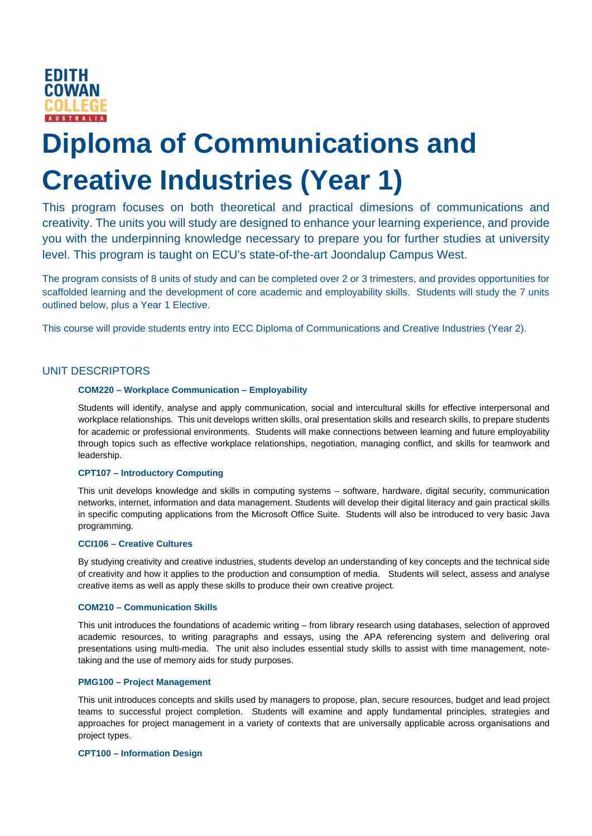

# **Diploma of Communications and Creative Industries (Year 1)**

This program focuses on both theoretical and practical dimesions of communications and creativity. The units you will study are designed to enhance your learning experience, and provide you with the underpinning knowledge necessary to prepare you for further studies at university level. This program is taught on ECU's state-of-the-art Joondalup Campus West.

The program consists of 8 units of study and can be completed over 2 or 3 trimesters, and provides opportunities for scaffolded learning and the development of core academic and employability skills. Students will study the 7 units outlined below, plus a Year 1 Elective.

This course will provide students entry into ECC Diploma of Communications and Creative Industries (Year 2).

# UNIT DESCRIPTORS

# **COM220 – Workplace Communication – Employability**

Students will identify, analyse and apply communication, social and intercultural skills for effective interpersonal and workplace relationships. This unit develops written skills, oral presentation skills and research skills, to prepare students for academic or professional environments. Students will make connections between learning and future employability through topics such as effective workplace relationships, negotiation, managing conflict, and skills for teamwork and leadership.

# **CPT107 – Introductory Computing**

This unit develops knowledge and skills in computing systems – software, hardware, digital security, communication networks, internet, information and data management. Students will develop their digital literacy and gain practical skills in specific computing applications from the Microsoft Office Suite. Students will also be introduced to very basic Java programming.

### **CCI106 – Creative Cultures**

By studying creativity and creative industries, students develop an understanding of key concepts and the technical side of creativity and how it applies to the production and consumption of media. Students will select, assess and analyse creative items as well as apply these skills to produce their own creative project.

#### **COM210 – Communication Skills**

This unit introduces the foundations of academic writing – from library research using databases, selection of approved academic resources, to writing paragraphs and essays, using the APA referencing system and delivering oral presentations using multi-media. The unit also includes essential study skills to assist with time management, notetaking and the use of memory aids for study purposes.

#### **PMG100 – Project Management**

This unit introduces concepts and skills used by managers to propose, plan, secure resources, budget and lead project teams to successful project completion. Students will examine and apply fundamental principles, strategies and approaches for project management in a variety of contexts that are universally applicable across organisations and project types.

#### **CPT100 – Information Design**